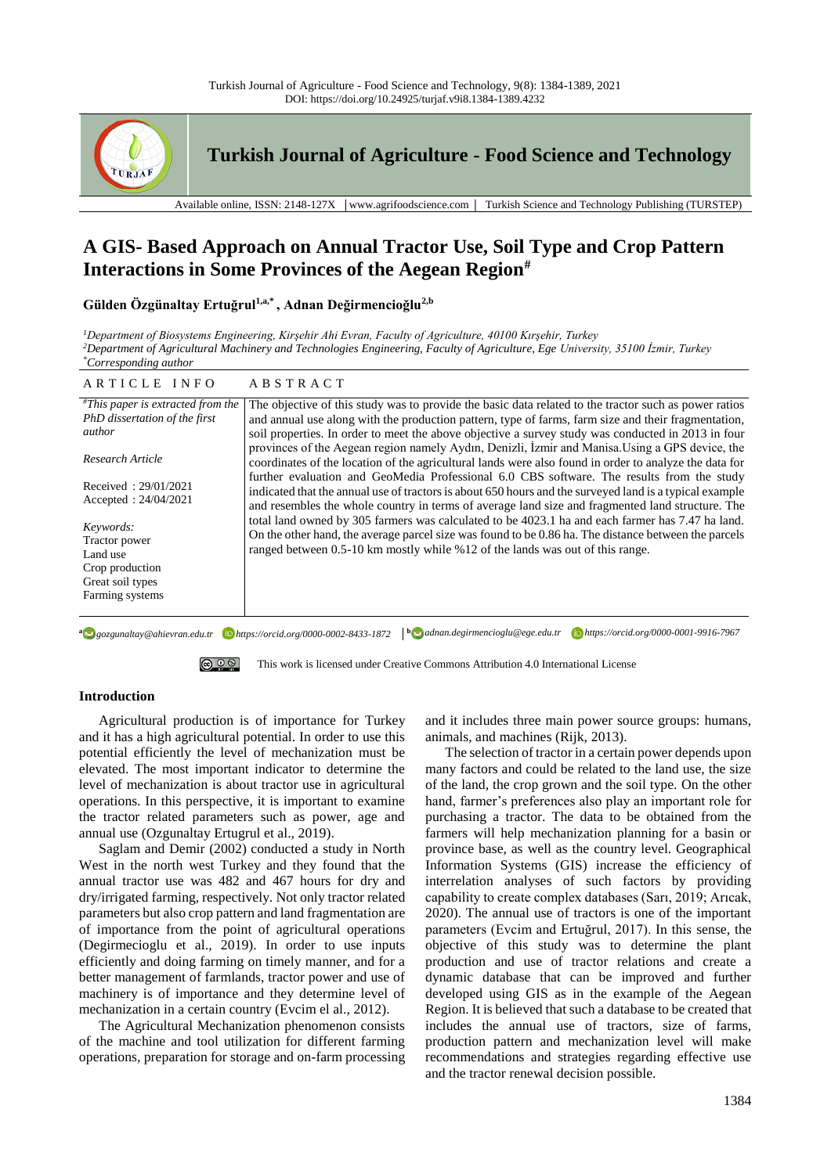

**Turkish Journal of Agriculture - Food Science and Technology**

Available online, ISSN: 2148-127X │www.agrifoodscience.com │ Turkish Science and Technology Publishing (TURSTEP)

# **A GIS- Based Approach on Annual Tractor Use, Soil Type and Crop Pattern Interactions in Some Provinces of the Aegean Region#**

**Gülden Özgünaltay Ertuğrul1,a,\* , Adnan Değirmencioğlu2,b**

*<sup>1</sup>Department of Biosystems Engineering, Kirşehir Ahi Evran, Faculty of Agriculture, 40100 Kırşehir, Turkey <sup>2</sup>Department of Agricultural Machinery and Technologies Engineering, Faculty of Agriculture, Ege University, 35100 İzmir, Turkey \*Corresponding author*

| ARTICLE INFO                                                                                     | ABSTRACT                                                                                                                                                                                                                                                                                                           |
|--------------------------------------------------------------------------------------------------|--------------------------------------------------------------------------------------------------------------------------------------------------------------------------------------------------------------------------------------------------------------------------------------------------------------------|
| $H$ This paper is extracted from the<br>PhD dissertation of the first<br><i>author</i>           | The objective of this study was to provide the basic data related to the tractor such as power ratios<br>and annual use along with the production pattern, type of farms, farm size and their fragmentation,<br>soil properties. In order to meet the above objective a survey study was conducted in 2013 in four |
| Research Article                                                                                 | provinces of the Aegean region namely Aydın, Denizli, İzmir and Manisa. Using a GPS device, the<br>coordinates of the location of the agricultural lands were also found in order to analyze the data for                                                                                                          |
| Received: $29/01/2021$<br>Accepted : $24/04/2021$                                                | further evaluation and GeoMedia Professional 6.0 CBS software. The results from the study<br>indicated that the annual use of tractors is about 650 hours and the surveyed land is a typical example<br>and resembles the whole country in terms of average land size and fragmented land structure. The           |
| Keywords:<br>Tractor power<br>Land use<br>Crop production<br>Great soil types<br>Farming systems | total land owned by 305 farmers was calculated to be 4023.1 ha and each farmer has 7.47 ha land.<br>On the other hand, the average parcel size was found to be 0.86 ha. The distance between the parcels<br>ranged between 0.5-10 km mostly while %12 of the lands was out of this range.                          |

**a** *gozgunaltay@ahievran.edu.tr https://orcid.org/0000-0002-8433-1872***<sup>b</sup>** *adnan.degirmencioglu@ege.edu.tr https://orcid.org/0000-0001-9916-7967*

This work is licensed under Creative Commons Attribution 4.0 International License

# **Introduction**

Agricultural production is of importance for Turkey and it has a high agricultural potential. In order to use this potential efficiently the level of mechanization must be elevated. The most important indicator to determine the level of mechanization is about tractor use in agricultural operations. In this perspective, it is important to examine the tractor related parameters such as power, age and annual use (Ozgunaltay Ertugrul et al., 2019).

Saglam and Demir (2002) conducted a study in North West in the north west Turkey and they found that the annual tractor use was 482 and 467 hours for dry and dry/irrigated farming, respectively. Not only tractor related parameters but also crop pattern and land fragmentation are of importance from the point of agricultural operations (Degirmecioglu et al., 2019). In order to use inputs efficiently and doing farming on timely manner, and for a better management of farmlands, tractor power and use of machinery is of importance and they determine level of mechanization in a certain country (Evcim el al., 2012).

The Agricultural Mechanization phenomenon consists of the machine and tool utilization for different farming operations, preparation for storage and on-farm processing and it includes three main power source groups: humans, animals, and machines (Rijk, 2013).

The selection of tractor in a certain power depends upon many factors and could be related to the land use, the size of the land, the crop grown and the soil type. On the other hand, farmer's preferences also play an important role for purchasing a tractor. The data to be obtained from the farmers will help mechanization planning for a basin or province base, as well as the country level. Geographical Information Systems (GIS) increase the efficiency of interrelation analyses of such factors by providing capability to create complex databases (Sarı, 2019; Arıcak, 2020). The annual use of tractors is one of the important parameters (Evcim and Ertuğrul, 2017). In this sense, the objective of this study was to determine the plant production and use of tractor relations and create a dynamic database that can be improved and further developed using GIS as in the example of the Aegean Region. It is believed that such a database to be created that includes the annual use of tractors, size of farms, production pattern and mechanization level will make recommendations and strategies regarding effective use and the tractor renewal decision possible.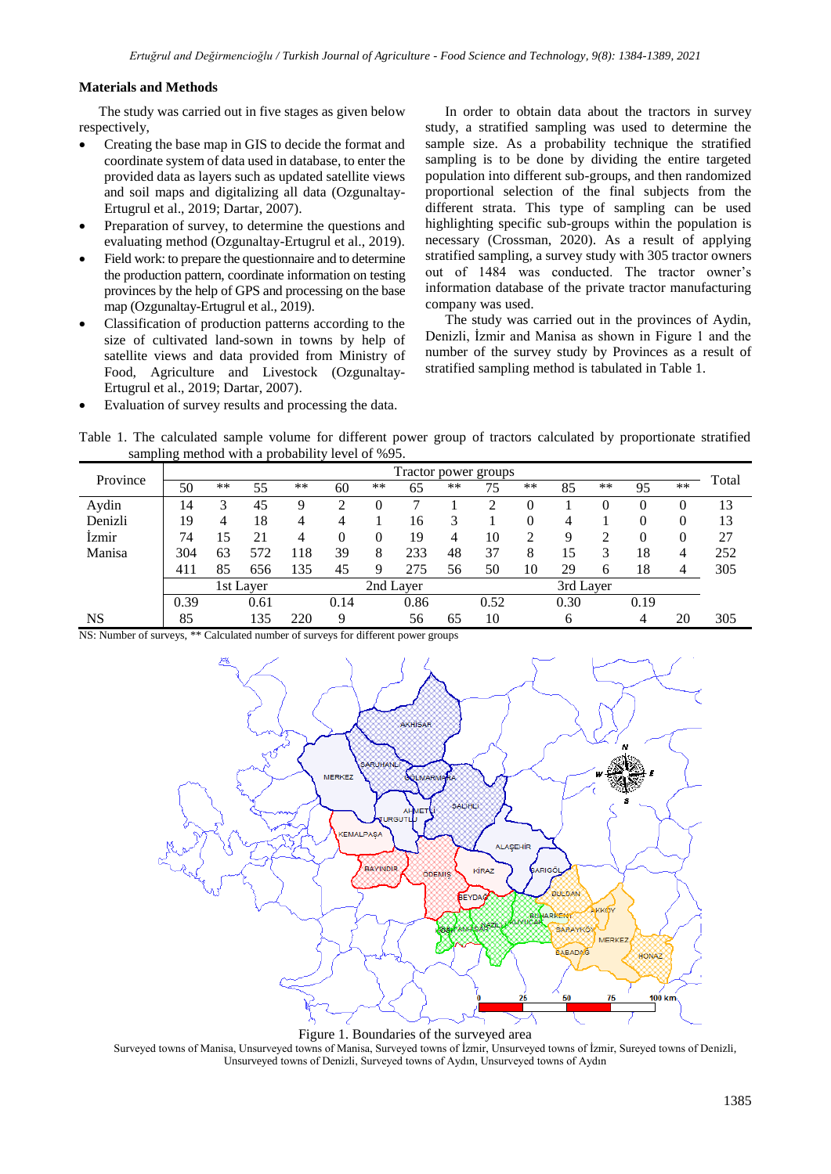### **Materials and Methods**

The study was carried out in five stages as given below respectively,

- Creating the base map in GIS to decide the format and coordinate system of data used in database, to enter the provided data as layers such as updated satellite views and soil maps and digitalizing all data (Ozgunaltay-Ertugrul et al., 2019; Dartar, 2007).
- Preparation of survey, to determine the questions and evaluating method (Ozgunaltay-Ertugrul et al., 2019).
- Field work: to prepare the questionnaire and to determine the production pattern, coordinate information on testing provinces by the help of GPS and processing on the base map (Ozgunaltay-Ertugrul et al., 2019).
- Classification of production patterns according to the size of cultivated land-sown in towns by help of satellite views and data provided from Ministry of Food, Agriculture and Livestock (Ozgunaltay-Ertugrul et al., 2019; Dartar, 2007).

In order to obtain data about the tractors in survey study, a stratified sampling was used to determine the sample size. As a probability technique the stratified sampling is to be done by dividing the entire targeted population into different sub-groups, and then randomized proportional selection of the final subjects from the different strata. This type of sampling can be used highlighting specific sub-groups within the population is necessary (Crossman, 2020). As a result of applying stratified sampling, a survey study with 305 tractor owners out of 1484 was conducted. The tractor owner's information database of the private tractor manufacturing company was used.

The study was carried out in the provinces of Aydin, Denizli, İzmir and Manisa as shown in Figure 1 and the number of the survey study by Provinces as a result of stratified sampling method is tabulated in Table 1.

Evaluation of survey results and processing the data.

Table 1. The calculated sample volume for different power group of tractors calculated by proportionate stratified sampling method with a probability level of %95.

| Province     |           | Tractor power groups |      |           |      |      |      |           |      |    |      |      |      |       |       |
|--------------|-----------|----------------------|------|-----------|------|------|------|-----------|------|----|------|------|------|-------|-------|
|              | 50        | $***$                | 55   | $**$      | 60   | $**$ | 65   | $***$     | 75   | ** | 85   | $**$ | 95   | $***$ | Total |
| Aydin        | 14        |                      | 45   | Q         |      |      |      |           |      |    |      |      |      |       | 13    |
| Denizli      | 19        | 4                    | 18   | 4         |      |      | 16   | 3         |      | 0  | 4    |      |      | 0     | 13    |
| <i>Izmir</i> | 74        | .5                   | 21   | 4         | 0    | 0    | 19   | 4         | 10   | 2  | 9    |      |      | 0     | 27    |
| Manisa       | 304       | 63                   | 572  | 118       | 39   | 8    | 233  | 48        | 37   | 8  | 15   |      | 18   | 4     | 252   |
|              | 411       | 85                   | 656  | 135       | 45   | 9    | 275  | 56        | 50   | 10 | 29   | 6    | 18   | 4     | 305   |
|              | 1st Layer |                      |      | 2nd Layer |      |      |      | 3rd Layer |      |    |      |      |      |       |       |
|              | 0.39      |                      | 0.61 |           | 0.14 |      | 0.86 |           | 0.52 |    | 0.30 |      | 0.19 |       |       |
| <b>NS</b>    | 85        |                      | 135  | 220       | Q    |      | 56   | 65        | 10   |    | 6    |      | 4    | 20    | 305   |

NS: Number of surveys, \*\* Calculated number of surveys for different power groups



Figure 1. Boundaries of the surveyed area

Surveyed towns of Manisa, Unsurveyed towns of Manisa, Surveyed towns of İzmir, Unsurveyed towns of İzmir, Sureyed towns of Denizli, Unsurveyed towns of Denizli, Surveyed towns of Aydın, Unsurveyed towns of Aydın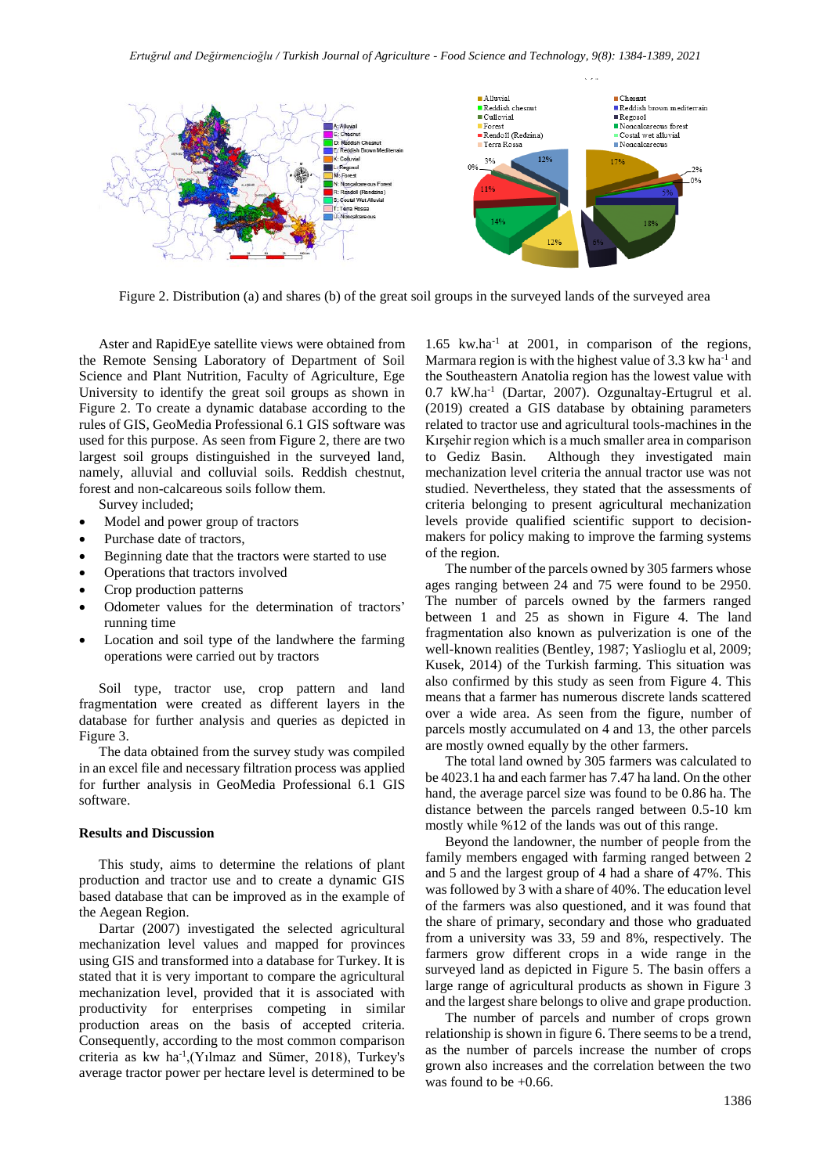

Figure 2. Distribution (a) and shares (b) of the great soil groups in the surveyed lands of the surveyed area

Aster and RapidEye satellite views were obtained from the Remote Sensing Laboratory of Department of Soil Science and Plant Nutrition, Faculty of Agriculture, Ege University to identify the great soil groups as shown in Figure 2. To create a dynamic database according to the rules of GIS, GeoMedia Professional 6.1 GIS software was used for this purpose. As seen from Figure 2, there are two largest soil groups distinguished in the surveyed land, namely, alluvial and colluvial soils. Reddish chestnut, forest and non-calcareous soils follow them.

Survey included;

- Model and power group of tractors
- Purchase date of tractors,
- Beginning date that the tractors were started to use
- Operations that tractors involved
- Crop production patterns
- Odometer values for the determination of tractors' running time
- Location and soil type of the landwhere the farming operations were carried out by tractors

Soil type, tractor use, crop pattern and land fragmentation were created as different layers in the database for further analysis and queries as depicted in Figure 3.

The data obtained from the survey study was compiled in an excel file and necessary filtration process was applied for further analysis in GeoMedia Professional 6.1 GIS software.

#### **Results and Discussion**

This study, aims to determine the relations of plant production and tractor use and to create a dynamic GIS based database that can be improved as in the example of the Aegean Region.

Dartar (2007) investigated the selected agricultural mechanization level values and mapped for provinces using GIS and transformed into a database for Turkey. It is stated that it is very important to compare the agricultural mechanization level, provided that it is associated with productivity for enterprises competing in similar production areas on the basis of accepted criteria. Consequently, according to the most common comparison criteria as kw ha-1 ,(Yılmaz and Sümer, 2018), Turkey's average tractor power per hectare level is determined to be

1.65 kw.ha-1 at 2001, in comparison of the regions, Marmara region is with the highest value of  $3.3 \text{ kW} \text{ ha}^{-1}$  and the Southeastern Anatolia region has the lowest value with 0.7 kW.ha-1 (Dartar, 2007). Ozgunaltay-Ertugrul et al. (2019) created a GIS database by obtaining parameters related to tractor use and agricultural tools-machines in the Kırşehir region which is a much smaller area in comparison to Gediz Basin. Although they investigated main mechanization level criteria the annual tractor use was not studied. Nevertheless, they stated that the assessments of criteria belonging to present agricultural mechanization levels provide qualified scientific support to decisionmakers for policy making to improve the farming systems of the region.

The number of the parcels owned by 305 farmers whose ages ranging between 24 and 75 were found to be 2950. The number of parcels owned by the farmers ranged between 1 and 25 as shown in Figure 4. The land fragmentation also known as pulverization is one of the well-known realities (Bentley, 1987; Yaslioglu et al, 2009; Kusek, 2014) of the Turkish farming. This situation was also confirmed by this study as seen from Figure 4. This means that a farmer has numerous discrete lands scattered over a wide area. As seen from the figure, number of parcels mostly accumulated on 4 and 13, the other parcels are mostly owned equally by the other farmers.

The total land owned by 305 farmers was calculated to be 4023.1 ha and each farmer has 7.47 ha land. On the other hand, the average parcel size was found to be 0.86 ha. The distance between the parcels ranged between 0.5-10 km mostly while %12 of the lands was out of this range.

Beyond the landowner, the number of people from the family members engaged with farming ranged between 2 and 5 and the largest group of 4 had a share of 47%. This was followed by 3 with a share of 40%. The education level of the farmers was also questioned, and it was found that the share of primary, secondary and those who graduated from a university was 33, 59 and 8%, respectively. The farmers grow different crops in a wide range in the surveyed land as depicted in Figure 5. The basin offers a large range of agricultural products as shown in Figure 3 and the largest share belongs to olive and grape production.

The number of parcels and number of crops grown relationship is shown in figure 6. There seems to be a trend, as the number of parcels increase the number of crops grown also increases and the correlation between the two was found to be +0.66.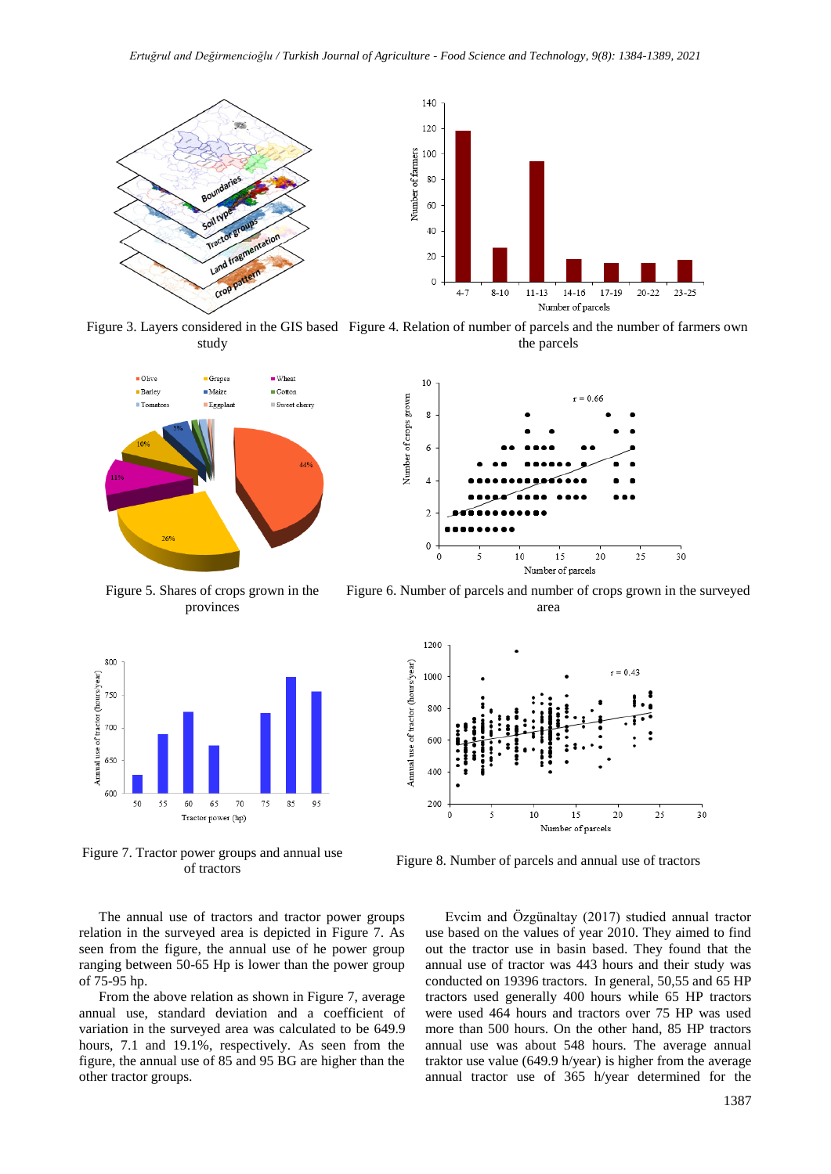

Figure 3. Layers considered in the GIS based Figure 4. Relation of number of parcels and the number of farmers own study the parcels



Figure 5. Shares of crops grown in the provinces



Figure 7. Tractor power groups and annual use

Figure 6. Number of parcels and number of crops grown in the surveyed area



power groups and annual use<br>of tractors Figure 8. Number of parcels and annual use of tractors

The annual use of tractors and tractor power groups relation in the surveyed area is depicted in Figure 7. As seen from the figure, the annual use of he power group ranging between 50-65 Hp is lower than the power group of 75-95 hp.

From the above relation as shown in Figure 7, average annual use, standard deviation and a coefficient of variation in the surveyed area was calculated to be 649.9 hours, 7.1 and 19.1%, respectively. As seen from the figure, the annual use of 85 and 95 BG are higher than the other tractor groups.

Evcim and Özgünaltay (2017) studied annual tractor use based on the values of year 2010. They aimed to find out the tractor use in basin based. They found that the annual use of tractor was 443 hours and their study was conducted on 19396 tractors. In general, 50,55 and 65 HP tractors used generally 400 hours while 65 HP tractors were used 464 hours and tractors over 75 HP was used more than 500 hours. On the other hand, 85 HP tractors annual use was about 548 hours. The average annual traktor use value (649.9 h/year) is higher from the average annual tractor use of 365 h/year determined for the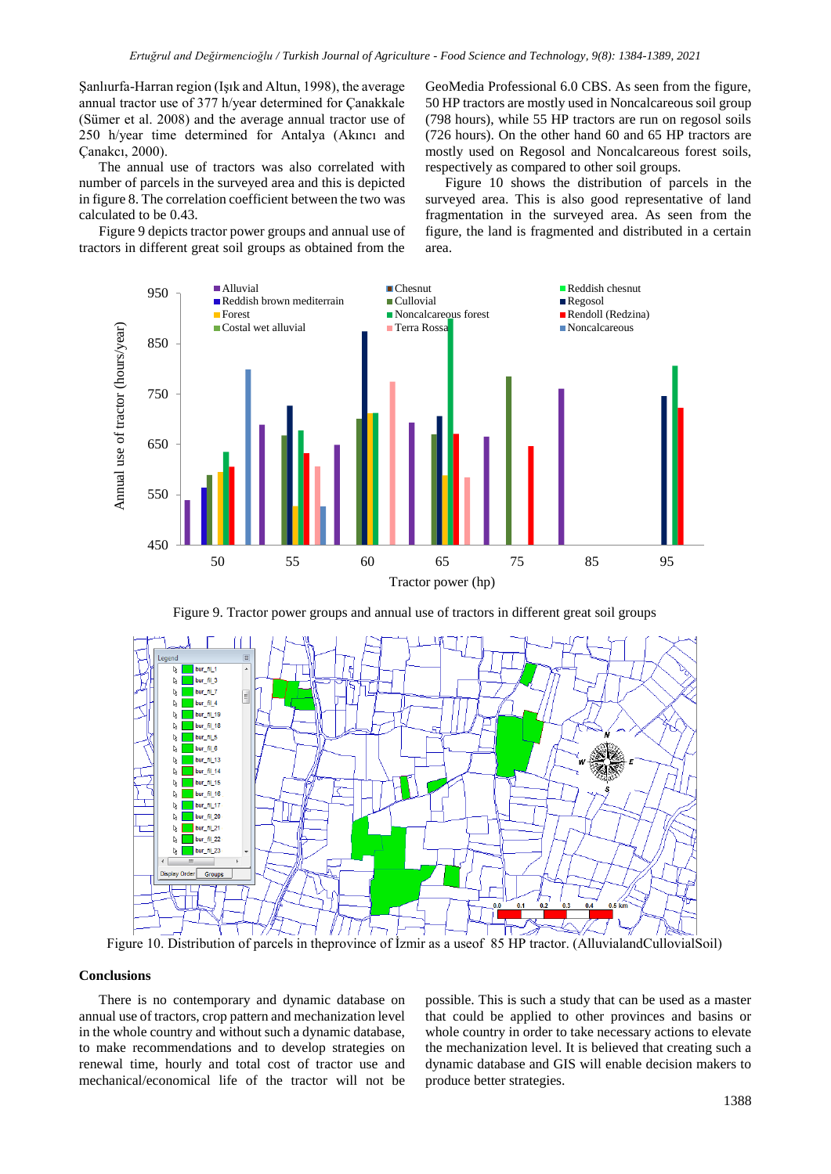Şanlıurfa-Harran region (Işık and Altun, 1998), the average annual tractor use of 377 h/year determined for Çanakkale (Sümer et al. 2008) and the average annual tractor use of 250 h/year time determined for Antalya (Akıncı and Çanakcı, 2000).

The annual use of tractors was also correlated with number of parcels in the surveyed area and this is depicted in figure 8. The correlation coefficient between the two was calculated to be 0.43.

Figure 9 depicts tractor power groups and annual use of tractors in different great soil groups as obtained from the

GeoMedia Professional 6.0 CBS. As seen from the figure, 50 HP tractors are mostly used in Noncalcareous soil group (798 hours), while 55 HP tractors are run on regosol soils (726 hours). On the other hand 60 and 65 HP tractors are mostly used on Regosol and Noncalcareous forest soils, respectively as compared to other soil groups.

Figure 10 shows the distribution of parcels in the surveyed area. This is also good representative of land fragmentation in the surveyed area. As seen from the figure, the land is fragmented and distributed in a certain area.



Figure 9. Tractor power groups and annual use of tractors in different great soil groups



Figure 10. Distribution of parcels in theprovince of İzmir as a useof 85 HP tractor. (AlluvialandCullovialSoil)

## **Conclusions**

There is no contemporary and dynamic database on annual use of tractors, crop pattern and mechanization level in the whole country and without such a dynamic database, to make recommendations and to develop strategies on renewal time, hourly and total cost of tractor use and mechanical/economical life of the tractor will not be

possible. This is such a study that can be used as a master that could be applied to other provinces and basins or whole country in order to take necessary actions to elevate the mechanization level. It is believed that creating such a dynamic database and GIS will enable decision makers to produce better strategies.